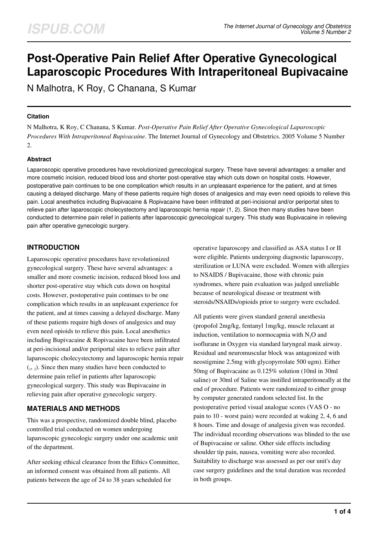# **Post-Operative Pain Relief After Operative Gynecological Laparoscopic Procedures With Intraperitoneal Bupivacaine**

N Malhotra, K Roy, C Chanana, S Kumar

# **Citation**

N Malhotra, K Roy, C Chanana, S Kumar. *Post-Operative Pain Relief After Operative Gynecological Laparoscopic Procedures With Intraperitoneal Bupivacaine*. The Internet Journal of Gynecology and Obstetrics. 2005 Volume 5 Number 2.

# **Abstract**

Laparoscopic operative procedures have revolutionized gynecological surgery. These have several advantages: a smaller and more cosmetic incision, reduced blood loss and shorter post-operative stay which cuts down on hospital costs. However, postoperative pain continues to be one complication which results in an unpleasant experience for the patient, and at times causing a delayed discharge. Many of these patients require high doses of analgesics and may even need opioids to relieve this pain. Local anesthetics including Bupivacaine & Ropivacaine have been infiltrated at peri-incisional and/or periportal sites to relieve pain after laparoscopic cholecystectomy and laparoscopic hernia repair (1, 2). Since then many studies have been conducted to determine pain relief in patients after laparoscopic gynecological surgery. This study was Bupivacaine in relieving pain after operative gynecologic surgery.

# **INTRODUCTION**

Laparoscopic operative procedures have revolutionized gynecological surgery. These have several advantages: a smaller and more cosmetic incision, reduced blood loss and shorter post-operative stay which cuts down on hospital costs. However, postoperative pain continues to be one complication which results in an unpleasant experience for the patient, and at times causing a delayed discharge. Many of these patients require high doses of analgesics and may even need opioids to relieve this pain. Local anesthetics including Bupivacaine & Ropivacaine have been infiltrated at peri-incisional and/or periportal sites to relieve pain after laparoscopic cholecystectomy and laparoscopic hernia repair  $(1, 2)$ . Since then many studies have been conducted to determine pain relief in patients after laparoscopic gynecological surgery. This study was Bupivacaine in relieving pain after operative gynecologic surgery.

# **MATERIALS AND METHODS**

This was a prospective, randomized double blind, placebo controlled trial conducted on women undergoing laparoscopic gynecologic surgery under one academic unit of the department.

After seeking ethical clearance from the Ethics Committee, an informed consent was obtained from all patients. All patients between the age of 24 to 38 years scheduled for

operative laparoscopy and classified as ASA status I or II were eligible. Patients undergoing diagnostic laparoscopy, sterilization or LUNA were excluded. Women with allergies to NSAIDS / Bupivacaine, those with chronic pain syndromes, where pain evaluation was judged unreliable because of neurological disease or treatment with steroids/NSAIDs/opioids prior to surgery were excluded.

All patients were given standard general anesthesia (propofol 2mg/kg, fentanyl 1mg/kg, muscle relaxant at induction, ventilation to normocapnia with  $N_2O$  and isoflurane in Oxygen via standard laryngeal mask airway. Residual and neuromuscular block was antagonized with neostigmine 2.5mg with glycopyrrolate 500 ugm). Either 50mg of Bupivacaine as 0.125% solution (10ml in 30ml saline) or 30ml of Saline was instilled intraperitoneally at the end of procedure. Patients were randomized to either group by computer generated random selected list. In the postoperative period visual analogue scores (VAS O - no pain to 10 - worst pain) were recorded at waking 2, 4, 6 and 8 hours. Time and dosage of analgesia given was recorded. The individual recording observations was blinded to the use of Bupivacaine or saline. Other side effects including shoulder tip pain, nausea, vomiting were also recorded. Suitability to discharge was assessed as per our unit's day case surgery guidelines and the total duration was recorded in both groups.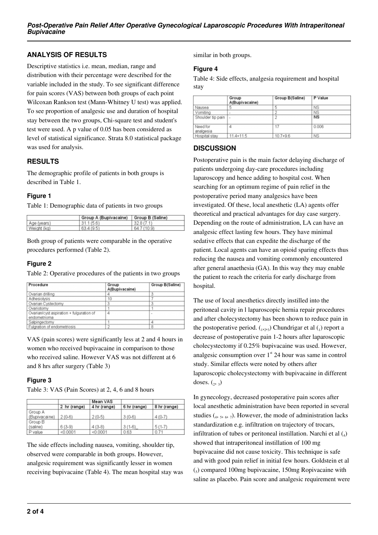# **ANALYSIS OF RESULTS**

Descriptive statistics i.e. mean, median, range and distribution with their percentage were described for the variable included in the study. To see significant difference for pain scores (VAS) between both groups of each point Wilcoxan Rankson test (Mann-Whitney U test) was applied. To see proportion of analgesic use and duration of hospital stay between the two groups, Chi-square test and student's test were used. A p value of 0.05 has been considered as level of statistical significance. Strata 8.0 statistical package was used for analysis.

# **RESULTS**

The demographic profile of patients in both groups is described in Table 1.

# **Figure 1**

Table 1: Demographic data of patients in two groups

|             | Group A (Bupivacaine) | Group B (Saline) |
|-------------|-----------------------|------------------|
| Age (years) | 31.1(5.6)             | 32.8(7.1)        |
| Weight (kg) | 63.4(9.5)             | 64.7 (10.9)      |

Both group of patients were comparable in the operative procedures performed (Table 2).

# **Figure 2**

Table 2: Operative procedures of the patients in two groups

| Procedure                                                | Group<br>A(Bupivacaine) | Group B(Saline) |
|----------------------------------------------------------|-------------------------|-----------------|
| Ovarian drilling                                         | 4                       | 3               |
| Adhesiolysis                                             | 10                      |                 |
| Ovarian Cystectomy                                       | 3                       | 3               |
| Ovariotomy                                               |                         |                 |
| Ovarian/cyst aspiration + fulguration of<br>endometrioma | 4                       |                 |
| Salpingectomy                                            |                         | 4               |
| Fulgration of endometriosis                              |                         | 8               |

VAS (pain scores) were significantly less at 2 and 4 hours in women who received bupivacaine in comparison to those who received saline. However VAS was not different at 6 and 8 hrs after surgery (Table 3)

# **Figure 3**

Table 3: VAS (Pain Scores) at 2, 4, 6 and 8 hours

|               |              | Mean VAS     |              |              |
|---------------|--------------|--------------|--------------|--------------|
|               | 2 hr (range) | 4 hr (range) | 6 hr (range) | 8 hr (range) |
| Group A       |              |              |              |              |
| (Bupivacaine) | $2(0-6)$     | $2(0-5)$     | $3(0-6)$     | $4(0-7)$     |
| Group B       |              |              |              |              |
| (saline)      | $6(3-9)$     | $4(3-8)$     | $3(1-6)$     | $5(1-7)$     |
| P value       | < 0.0001     | < 0.0001     | 0.63         | 0.71         |

The side effects including nausea, vomiting, shoulder tip, observed were comparable in both groups. However, analgesic requirement was significantly lesser in women receiving bupivacaine (Table 4). The mean hospital stay was similar in both groups.

#### **Figure 4**

Table 4: Side effects, analgesia requirement and hospital stay

|                       | Group<br>A(Bupivacaine) | Group B(Saline) | P Value   |
|-----------------------|-------------------------|-----------------|-----------|
| Nausea                | 5                       | 5               | NS        |
| Vomiting              | $\sim$                  |                 | <b>NS</b> |
| Shoulder tip pain     | $\sim$                  | 2               | <b>NS</b> |
| Need for<br>analgesia | 4                       | 17              | 0.006     |
| Hospital stay         | $11.4 + 11.5$           | $10.7 + 9.6$    | <b>NS</b> |

# **DISCUSSION**

Postoperative pain is the main factor delaying discharge of patients undergoing day-care procedures including laparoscopy and hence adding to hospital cost. When searching for an optimum regime of pain relief in the postoperative period many analgesics have been investigated. Of these, local anesthetic (LA) agents offer theoretical and practical advantages for day case surgery. Depending on the route of administration, LA can have an analgesic effect lasting few hours. They have minimal sedative effects that can expedite the discharge of the patient. Local agents can have an opioid sparing effects thus reducing the nausea and vomiting commonly encountered after general anaethesia (GA). In this way they may enable the patient to reach the criteria for early discharge from hospital.

The use of local anesthetics directly instilled into the peritoneal cavity in l laparoscopic hernia repair procedures and after cholecystectomy has been shown to reduce pain in the postoperative period.  $_{1,2,3}$ ) Chundrigar et al  $_{1}$ ) report a decrease of postoperative pain 1-2 hours after laparoscopic cholecystectomy if 0.25% bupivacaine was used. However, analgesic consumption over  $1<sup>st</sup>$  24 hour was same in control study. Similar effects were noted by others after laparoscopic cholecystectomy with bupivacaine in different doses.  $\binom{1}{2}$ 

In gynecology, decreased postoperative pain scores after local anesthetic administration have been reported in several studies  $(4, 5, 6, 7)$ . However, the mode of administration lacks standardization e.g. infiltration on trajectory of trocars, infiltration of tubes or peritoneal instillation. Narchi et al  $\left( _{4}\right)$ showed that intraperitoneal instillation of 100 mg bupivacaine did not cause toxicity. This technique is safe and with good pain relief in initial few hours. Goldstein et al (5 ) compared 100mg bupivacaine, 150mg Ropivacaine with saline as placebo. Pain score and analgesic requirement were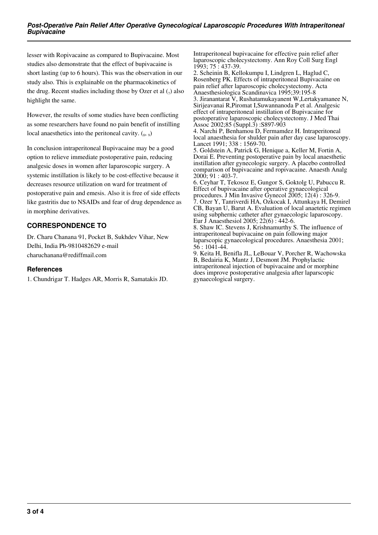lesser with Ropivacaine as compared to Bupivacaine. Most studies also demonstrate that the effect of bupivacaine is short lasting (up to 6 hours). This was the observation in our study also. This is explainable on the pharmacokinetics of the drug. Recent studies including those by Ozer et al  $\binom{7}{7}$  also highlight the same.

However, the results of some studies have been conflicting as some researchers have found no pain benefit of instilling local anaesthetics into the peritoneal cavity.  $(s, 9)$ 

In conclusion intraperitoneal Bupivacaine may be a good option to relieve immediate postoperative pain, reducing analgesic doses in women after laparoscopic surgery. A systemic instillation is likely to be cost-effective because it decreases resource utilization on ward for treatment of postoperative pain and emesis. Also it is free of side effects like gastritis due to NSAIDs and fear of drug dependence as in morphine derivatives.

# **CORRESPONDENCE TO**

Dr. Charu Chanana 91, Pocket B, Sukhdev Vihar, New Delhi, India Ph-9810482629 e-mail charuchanana@rediffmail.com

### **References**

1. Chundrigar T. Hadges AR, Morris R, Samatakis JD.

Intraperitoneal bupivacaine for effective pain relief after laparoscopic cholecystectomy. Ann Roy Coll Surg Engl 1993; 75 : 437-39.

2. Scheinin B, Kellokumpu I, Lindgren L, Haglud C, Rosenberg PK. Effects of intraperitoneal Bupivacaine on pain relief after laparoscopic cholecystectomy. Acta Anaesthesiologica Scandinavica 1995;39:195-8

3. Jiranantarat V, Rushatamukayanent W,Lertakyamanee N, Sirijeavanai R,Piromat I,Suwannanoda P et al. Analgesic effect of intraperitoneal instillation of Bupivacaine for postoperative laparoscopic cholecystectomy. J Med Thai Assoc 2002;85 (Suppl.3) :S897-903

4. Narchi P, Benhamou D, Fermamdez H. Intraperitoneal local anaesthesia for shulder pain after day case laparoscopy. Lancet 1991; 338 : 1569-70.

5. Goldstein A, Patrick G, Henique a, Keller M, Fortin A, Dorai E. Preventing postoperative pain by local anaesthetic instillation after gynecologic surgery. A placebo controlled comparison of bupivacaine and ropivacaine. Anaesth Analg  $2000; 91 : 403-7.$ 

6. Ceyhar T, Tekosoz E, Gungor S, Goktolg U, Pabuccu R. Effect of bupivacaine after operative gynaecological procedures. J Min Invasive Gynecol 2005; 12(4) : 326-9. 7. Ozer Y, Tanriverdi HA, Ozkocak I, Attunkaya H, Demirel CB, Bayan U, Barut A. Evaluation of local anaetetic regimen using subphernic catheter after gynaecologic laparoscopy. Eur J Anaesthesiol 2005; 22(6) : 442-6.

8. Shaw IC. Stevens J, Krishnamurthy S. The influence of intraperitoneal bupivacaine on pain following major laparscopic gynaecological procedures. Anaesthesia 2001; 56 : 1041-44.

9. Keita H, Benifla JL, LeBouar V, Porcher R, Wachowska B, Bedairia K, Mantz J, Desmont JM. Prophylactic intraperitoneal injection of bupivacaine and or morphine does improve postoperative analgesia after laparscopic gynaecological surgery.